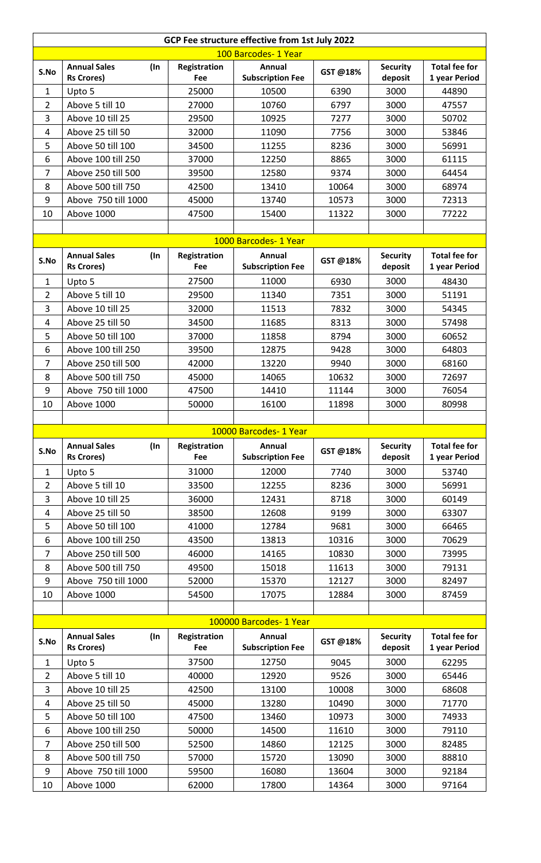| 100 Barcodes- 1 Year<br><b>Annual Sales</b><br>Annual<br><b>Total fee for</b><br>(In<br>Registration<br><b>Security</b><br>S.No<br>GST@18%<br>deposit<br><b>Rs Crores)</b><br>Fee<br><b>Subscription Fee</b><br>1 year Period<br>25000<br>6390<br>3000<br>$\mathbf{1}$<br>44890<br>Upto 5<br>10500<br>$\overline{2}$<br>Above 5 till 10<br>27000<br>10760<br>6797<br>3000<br>47557<br>3<br>Above 10 till 25<br>29500<br>7277<br>3000<br>50702<br>10925<br>Above 25 till 50<br>32000<br>11090<br>7756<br>3000<br>4<br>53846<br>5<br>Above 50 till 100<br>34500<br>8236<br>3000<br>56991<br>11255<br>6<br>37000<br>12250<br>8865<br>3000<br>61115<br>Above 100 till 250<br>$\overline{7}$<br>Above 250 till 500<br>39500<br>12580<br>9374<br>3000<br>64454<br>8<br>3000<br>Above 500 till 750<br>42500<br>13410<br>10064<br>68974<br>9<br>Above 750 till 1000<br>45000<br>10573<br>3000<br>13740<br>72313<br>47500<br>15400<br>11322<br>3000<br>77222<br>10<br>Above 1000<br>1000 Barcodes- 1 Year<br><b>Annual Sales</b><br>Registration<br>Annual<br><b>Security</b><br><b>Total fee for</b><br>(In<br>S.No<br>GST@18%<br><b>Subscription Fee</b><br><b>Rs Crores)</b><br>Fee<br>deposit<br>1 year Period<br>27500<br>11000<br>3000<br>6930<br>$\mathbf{1}$<br>Upto 5<br>48430<br>Above 5 till 10<br>$\overline{2}$<br>29500<br>11340<br>3000<br>51191<br>7351<br>3<br>Above 10 till 25<br>32000<br>11513<br>7832<br>3000<br>54345<br>Above 25 till 50<br>34500<br>11685<br>8313<br>3000<br>57498<br>4<br>5<br>Above 50 till 100<br>37000<br>11858<br>8794<br>3000<br>60652<br>6<br>Above 100 till 250<br>39500<br>12875<br>3000<br>64803<br>9428<br>$\overline{7}$<br>Above 250 till 500<br>3000<br>42000<br>13220<br>9940<br>68160<br>8<br>Above 500 till 750<br>45000<br>14065<br>10632<br>3000<br>72697<br>9<br>14410<br>3000<br>Above 750 till 1000<br>47500<br>11144<br>76054<br>10<br>Above 1000<br>50000<br>16100<br>3000<br>11898<br>80998<br>10000 Barcodes- 1 Year<br><b>Annual Sales</b><br>$($ In<br>Registration<br>Annual<br><b>Security</b><br><b>Total fee for</b><br>S.No<br>GST@18%<br><b>Subscription Fee</b><br>deposit<br><b>Rs Crores)</b><br>Fee<br>1 year Period<br>31000<br>3000<br>$\mathbf{1}$<br>12000<br>Upto 5<br>7740<br>53740<br>Above 5 till 10<br>$\overline{2}$<br>33500<br>12255<br>8236<br>3000<br>56991<br>3<br>Above 10 till 25<br>3000<br>36000<br>12431<br>8718<br>60149<br>4<br>Above 25 till 50<br>38500<br>12608<br>3000<br>63307<br>9199<br>5<br>Above 50 till 100<br>12784<br>3000<br>41000<br>9681<br>66465<br>Above 100 till 250<br>6<br>13813<br>10316<br>3000<br>70629<br>43500<br>$\overline{7}$<br>Above 250 till 500<br>3000<br>46000<br>14165<br>10830<br>73995<br>Above 500 till 750<br>49500<br>15018<br>3000<br>79131<br>8<br>11613<br>9<br>Above 750 till 1000<br>3000<br>52000<br>15370<br>12127<br>82497<br>10<br>Above 1000<br>17075<br>3000<br>54500<br>12884<br>87459<br>100000 Barcodes- 1 Year<br>Annual<br><b>Annual Sales</b><br>Registration<br><b>Security</b><br><b>Total fee for</b><br>(In<br>S.No<br>GST@18%<br><b>Rs Crores)</b><br>Fee<br><b>Subscription Fee</b><br>deposit<br>1 year Period<br>3000<br>37500<br>12750<br>$\mathbf{1}$<br>Upto 5<br>9045<br>62295<br>Above 5 till 10<br>40000<br>12920<br>9526<br>3000<br>$\overline{2}$<br>65446<br>3<br>Above 10 till 25<br>42500<br>13100<br>3000<br>10008<br>68608<br>Above 25 till 50<br>3000<br>71770<br>4<br>45000<br>13280<br>10490<br>5<br>3000<br>Above 50 till 100<br>47500<br>13460<br>10973<br>74933<br>Above 100 till 250<br>50000<br>14500<br>3000<br>79110<br>6<br>11610<br>$\overline{7}$<br>Above 250 till 500<br>3000<br>52500<br>14860<br>12125<br>82485<br>Above 500 till 750<br>88810<br>8<br>57000<br>15720<br>13090<br>3000<br>9<br>Above 750 till 1000<br>59500<br>16080<br>13604<br>3000<br>92184<br>10<br>Above 1000<br>62000<br>17800<br>3000<br>97164<br>14364 | GCP Fee structure effective from 1st July 2022 |  |  |  |  |  |  |  |
|--------------------------------------------------------------------------------------------------------------------------------------------------------------------------------------------------------------------------------------------------------------------------------------------------------------------------------------------------------------------------------------------------------------------------------------------------------------------------------------------------------------------------------------------------------------------------------------------------------------------------------------------------------------------------------------------------------------------------------------------------------------------------------------------------------------------------------------------------------------------------------------------------------------------------------------------------------------------------------------------------------------------------------------------------------------------------------------------------------------------------------------------------------------------------------------------------------------------------------------------------------------------------------------------------------------------------------------------------------------------------------------------------------------------------------------------------------------------------------------------------------------------------------------------------------------------------------------------------------------------------------------------------------------------------------------------------------------------------------------------------------------------------------------------------------------------------------------------------------------------------------------------------------------------------------------------------------------------------------------------------------------------------------------------------------------------------------------------------------------------------------------------------------------------------------------------------------------------------------------------------------------------------------------------------------------------------------------------------------------------------------------------------------------------------------------------------------------------------------------------------------------------------------------------------------------------------------------------------------------------------------------------------------------------------------------------------------------------------------------------------------------------------------------------------------------------------------------------------------------------------------------------------------------------------------------------------------------------------------------------------------------------------------------------------------------------------------------------------------------------------------------------------------------------------------------------------------------------------------------------------------------------------------------------------------------------------------------------------------------------------------------------------------------------------------------------------------------------------------------------------------------------------------------------------------------------------------------------------------------------------------------------------------------------------------------------------------------------------------------------------------------------------------------------------------------------------------------------------------------------------------------------------------------------------|------------------------------------------------|--|--|--|--|--|--|--|
|                                                                                                                                                                                                                                                                                                                                                                                                                                                                                                                                                                                                                                                                                                                                                                                                                                                                                                                                                                                                                                                                                                                                                                                                                                                                                                                                                                                                                                                                                                                                                                                                                                                                                                                                                                                                                                                                                                                                                                                                                                                                                                                                                                                                                                                                                                                                                                                                                                                                                                                                                                                                                                                                                                                                                                                                                                                                                                                                                                                                                                                                                                                                                                                                                                                                                                                                                                                                                                                                                                                                                                                                                                                                                                                                                                                                                                                                                                                          |                                                |  |  |  |  |  |  |  |
|                                                                                                                                                                                                                                                                                                                                                                                                                                                                                                                                                                                                                                                                                                                                                                                                                                                                                                                                                                                                                                                                                                                                                                                                                                                                                                                                                                                                                                                                                                                                                                                                                                                                                                                                                                                                                                                                                                                                                                                                                                                                                                                                                                                                                                                                                                                                                                                                                                                                                                                                                                                                                                                                                                                                                                                                                                                                                                                                                                                                                                                                                                                                                                                                                                                                                                                                                                                                                                                                                                                                                                                                                                                                                                                                                                                                                                                                                                                          |                                                |  |  |  |  |  |  |  |
|                                                                                                                                                                                                                                                                                                                                                                                                                                                                                                                                                                                                                                                                                                                                                                                                                                                                                                                                                                                                                                                                                                                                                                                                                                                                                                                                                                                                                                                                                                                                                                                                                                                                                                                                                                                                                                                                                                                                                                                                                                                                                                                                                                                                                                                                                                                                                                                                                                                                                                                                                                                                                                                                                                                                                                                                                                                                                                                                                                                                                                                                                                                                                                                                                                                                                                                                                                                                                                                                                                                                                                                                                                                                                                                                                                                                                                                                                                                          |                                                |  |  |  |  |  |  |  |
|                                                                                                                                                                                                                                                                                                                                                                                                                                                                                                                                                                                                                                                                                                                                                                                                                                                                                                                                                                                                                                                                                                                                                                                                                                                                                                                                                                                                                                                                                                                                                                                                                                                                                                                                                                                                                                                                                                                                                                                                                                                                                                                                                                                                                                                                                                                                                                                                                                                                                                                                                                                                                                                                                                                                                                                                                                                                                                                                                                                                                                                                                                                                                                                                                                                                                                                                                                                                                                                                                                                                                                                                                                                                                                                                                                                                                                                                                                                          |                                                |  |  |  |  |  |  |  |
|                                                                                                                                                                                                                                                                                                                                                                                                                                                                                                                                                                                                                                                                                                                                                                                                                                                                                                                                                                                                                                                                                                                                                                                                                                                                                                                                                                                                                                                                                                                                                                                                                                                                                                                                                                                                                                                                                                                                                                                                                                                                                                                                                                                                                                                                                                                                                                                                                                                                                                                                                                                                                                                                                                                                                                                                                                                                                                                                                                                                                                                                                                                                                                                                                                                                                                                                                                                                                                                                                                                                                                                                                                                                                                                                                                                                                                                                                                                          |                                                |  |  |  |  |  |  |  |
|                                                                                                                                                                                                                                                                                                                                                                                                                                                                                                                                                                                                                                                                                                                                                                                                                                                                                                                                                                                                                                                                                                                                                                                                                                                                                                                                                                                                                                                                                                                                                                                                                                                                                                                                                                                                                                                                                                                                                                                                                                                                                                                                                                                                                                                                                                                                                                                                                                                                                                                                                                                                                                                                                                                                                                                                                                                                                                                                                                                                                                                                                                                                                                                                                                                                                                                                                                                                                                                                                                                                                                                                                                                                                                                                                                                                                                                                                                                          |                                                |  |  |  |  |  |  |  |
|                                                                                                                                                                                                                                                                                                                                                                                                                                                                                                                                                                                                                                                                                                                                                                                                                                                                                                                                                                                                                                                                                                                                                                                                                                                                                                                                                                                                                                                                                                                                                                                                                                                                                                                                                                                                                                                                                                                                                                                                                                                                                                                                                                                                                                                                                                                                                                                                                                                                                                                                                                                                                                                                                                                                                                                                                                                                                                                                                                                                                                                                                                                                                                                                                                                                                                                                                                                                                                                                                                                                                                                                                                                                                                                                                                                                                                                                                                                          |                                                |  |  |  |  |  |  |  |
|                                                                                                                                                                                                                                                                                                                                                                                                                                                                                                                                                                                                                                                                                                                                                                                                                                                                                                                                                                                                                                                                                                                                                                                                                                                                                                                                                                                                                                                                                                                                                                                                                                                                                                                                                                                                                                                                                                                                                                                                                                                                                                                                                                                                                                                                                                                                                                                                                                                                                                                                                                                                                                                                                                                                                                                                                                                                                                                                                                                                                                                                                                                                                                                                                                                                                                                                                                                                                                                                                                                                                                                                                                                                                                                                                                                                                                                                                                                          |                                                |  |  |  |  |  |  |  |
|                                                                                                                                                                                                                                                                                                                                                                                                                                                                                                                                                                                                                                                                                                                                                                                                                                                                                                                                                                                                                                                                                                                                                                                                                                                                                                                                                                                                                                                                                                                                                                                                                                                                                                                                                                                                                                                                                                                                                                                                                                                                                                                                                                                                                                                                                                                                                                                                                                                                                                                                                                                                                                                                                                                                                                                                                                                                                                                                                                                                                                                                                                                                                                                                                                                                                                                                                                                                                                                                                                                                                                                                                                                                                                                                                                                                                                                                                                                          |                                                |  |  |  |  |  |  |  |
|                                                                                                                                                                                                                                                                                                                                                                                                                                                                                                                                                                                                                                                                                                                                                                                                                                                                                                                                                                                                                                                                                                                                                                                                                                                                                                                                                                                                                                                                                                                                                                                                                                                                                                                                                                                                                                                                                                                                                                                                                                                                                                                                                                                                                                                                                                                                                                                                                                                                                                                                                                                                                                                                                                                                                                                                                                                                                                                                                                                                                                                                                                                                                                                                                                                                                                                                                                                                                                                                                                                                                                                                                                                                                                                                                                                                                                                                                                                          |                                                |  |  |  |  |  |  |  |
|                                                                                                                                                                                                                                                                                                                                                                                                                                                                                                                                                                                                                                                                                                                                                                                                                                                                                                                                                                                                                                                                                                                                                                                                                                                                                                                                                                                                                                                                                                                                                                                                                                                                                                                                                                                                                                                                                                                                                                                                                                                                                                                                                                                                                                                                                                                                                                                                                                                                                                                                                                                                                                                                                                                                                                                                                                                                                                                                                                                                                                                                                                                                                                                                                                                                                                                                                                                                                                                                                                                                                                                                                                                                                                                                                                                                                                                                                                                          |                                                |  |  |  |  |  |  |  |
|                                                                                                                                                                                                                                                                                                                                                                                                                                                                                                                                                                                                                                                                                                                                                                                                                                                                                                                                                                                                                                                                                                                                                                                                                                                                                                                                                                                                                                                                                                                                                                                                                                                                                                                                                                                                                                                                                                                                                                                                                                                                                                                                                                                                                                                                                                                                                                                                                                                                                                                                                                                                                                                                                                                                                                                                                                                                                                                                                                                                                                                                                                                                                                                                                                                                                                                                                                                                                                                                                                                                                                                                                                                                                                                                                                                                                                                                                                                          |                                                |  |  |  |  |  |  |  |
|                                                                                                                                                                                                                                                                                                                                                                                                                                                                                                                                                                                                                                                                                                                                                                                                                                                                                                                                                                                                                                                                                                                                                                                                                                                                                                                                                                                                                                                                                                                                                                                                                                                                                                                                                                                                                                                                                                                                                                                                                                                                                                                                                                                                                                                                                                                                                                                                                                                                                                                                                                                                                                                                                                                                                                                                                                                                                                                                                                                                                                                                                                                                                                                                                                                                                                                                                                                                                                                                                                                                                                                                                                                                                                                                                                                                                                                                                                                          |                                                |  |  |  |  |  |  |  |
|                                                                                                                                                                                                                                                                                                                                                                                                                                                                                                                                                                                                                                                                                                                                                                                                                                                                                                                                                                                                                                                                                                                                                                                                                                                                                                                                                                                                                                                                                                                                                                                                                                                                                                                                                                                                                                                                                                                                                                                                                                                                                                                                                                                                                                                                                                                                                                                                                                                                                                                                                                                                                                                                                                                                                                                                                                                                                                                                                                                                                                                                                                                                                                                                                                                                                                                                                                                                                                                                                                                                                                                                                                                                                                                                                                                                                                                                                                                          |                                                |  |  |  |  |  |  |  |
|                                                                                                                                                                                                                                                                                                                                                                                                                                                                                                                                                                                                                                                                                                                                                                                                                                                                                                                                                                                                                                                                                                                                                                                                                                                                                                                                                                                                                                                                                                                                                                                                                                                                                                                                                                                                                                                                                                                                                                                                                                                                                                                                                                                                                                                                                                                                                                                                                                                                                                                                                                                                                                                                                                                                                                                                                                                                                                                                                                                                                                                                                                                                                                                                                                                                                                                                                                                                                                                                                                                                                                                                                                                                                                                                                                                                                                                                                                                          |                                                |  |  |  |  |  |  |  |
|                                                                                                                                                                                                                                                                                                                                                                                                                                                                                                                                                                                                                                                                                                                                                                                                                                                                                                                                                                                                                                                                                                                                                                                                                                                                                                                                                                                                                                                                                                                                                                                                                                                                                                                                                                                                                                                                                                                                                                                                                                                                                                                                                                                                                                                                                                                                                                                                                                                                                                                                                                                                                                                                                                                                                                                                                                                                                                                                                                                                                                                                                                                                                                                                                                                                                                                                                                                                                                                                                                                                                                                                                                                                                                                                                                                                                                                                                                                          |                                                |  |  |  |  |  |  |  |
|                                                                                                                                                                                                                                                                                                                                                                                                                                                                                                                                                                                                                                                                                                                                                                                                                                                                                                                                                                                                                                                                                                                                                                                                                                                                                                                                                                                                                                                                                                                                                                                                                                                                                                                                                                                                                                                                                                                                                                                                                                                                                                                                                                                                                                                                                                                                                                                                                                                                                                                                                                                                                                                                                                                                                                                                                                                                                                                                                                                                                                                                                                                                                                                                                                                                                                                                                                                                                                                                                                                                                                                                                                                                                                                                                                                                                                                                                                                          |                                                |  |  |  |  |  |  |  |
|                                                                                                                                                                                                                                                                                                                                                                                                                                                                                                                                                                                                                                                                                                                                                                                                                                                                                                                                                                                                                                                                                                                                                                                                                                                                                                                                                                                                                                                                                                                                                                                                                                                                                                                                                                                                                                                                                                                                                                                                                                                                                                                                                                                                                                                                                                                                                                                                                                                                                                                                                                                                                                                                                                                                                                                                                                                                                                                                                                                                                                                                                                                                                                                                                                                                                                                                                                                                                                                                                                                                                                                                                                                                                                                                                                                                                                                                                                                          |                                                |  |  |  |  |  |  |  |
|                                                                                                                                                                                                                                                                                                                                                                                                                                                                                                                                                                                                                                                                                                                                                                                                                                                                                                                                                                                                                                                                                                                                                                                                                                                                                                                                                                                                                                                                                                                                                                                                                                                                                                                                                                                                                                                                                                                                                                                                                                                                                                                                                                                                                                                                                                                                                                                                                                                                                                                                                                                                                                                                                                                                                                                                                                                                                                                                                                                                                                                                                                                                                                                                                                                                                                                                                                                                                                                                                                                                                                                                                                                                                                                                                                                                                                                                                                                          |                                                |  |  |  |  |  |  |  |
|                                                                                                                                                                                                                                                                                                                                                                                                                                                                                                                                                                                                                                                                                                                                                                                                                                                                                                                                                                                                                                                                                                                                                                                                                                                                                                                                                                                                                                                                                                                                                                                                                                                                                                                                                                                                                                                                                                                                                                                                                                                                                                                                                                                                                                                                                                                                                                                                                                                                                                                                                                                                                                                                                                                                                                                                                                                                                                                                                                                                                                                                                                                                                                                                                                                                                                                                                                                                                                                                                                                                                                                                                                                                                                                                                                                                                                                                                                                          |                                                |  |  |  |  |  |  |  |
|                                                                                                                                                                                                                                                                                                                                                                                                                                                                                                                                                                                                                                                                                                                                                                                                                                                                                                                                                                                                                                                                                                                                                                                                                                                                                                                                                                                                                                                                                                                                                                                                                                                                                                                                                                                                                                                                                                                                                                                                                                                                                                                                                                                                                                                                                                                                                                                                                                                                                                                                                                                                                                                                                                                                                                                                                                                                                                                                                                                                                                                                                                                                                                                                                                                                                                                                                                                                                                                                                                                                                                                                                                                                                                                                                                                                                                                                                                                          |                                                |  |  |  |  |  |  |  |
|                                                                                                                                                                                                                                                                                                                                                                                                                                                                                                                                                                                                                                                                                                                                                                                                                                                                                                                                                                                                                                                                                                                                                                                                                                                                                                                                                                                                                                                                                                                                                                                                                                                                                                                                                                                                                                                                                                                                                                                                                                                                                                                                                                                                                                                                                                                                                                                                                                                                                                                                                                                                                                                                                                                                                                                                                                                                                                                                                                                                                                                                                                                                                                                                                                                                                                                                                                                                                                                                                                                                                                                                                                                                                                                                                                                                                                                                                                                          |                                                |  |  |  |  |  |  |  |
|                                                                                                                                                                                                                                                                                                                                                                                                                                                                                                                                                                                                                                                                                                                                                                                                                                                                                                                                                                                                                                                                                                                                                                                                                                                                                                                                                                                                                                                                                                                                                                                                                                                                                                                                                                                                                                                                                                                                                                                                                                                                                                                                                                                                                                                                                                                                                                                                                                                                                                                                                                                                                                                                                                                                                                                                                                                                                                                                                                                                                                                                                                                                                                                                                                                                                                                                                                                                                                                                                                                                                                                                                                                                                                                                                                                                                                                                                                                          |                                                |  |  |  |  |  |  |  |
|                                                                                                                                                                                                                                                                                                                                                                                                                                                                                                                                                                                                                                                                                                                                                                                                                                                                                                                                                                                                                                                                                                                                                                                                                                                                                                                                                                                                                                                                                                                                                                                                                                                                                                                                                                                                                                                                                                                                                                                                                                                                                                                                                                                                                                                                                                                                                                                                                                                                                                                                                                                                                                                                                                                                                                                                                                                                                                                                                                                                                                                                                                                                                                                                                                                                                                                                                                                                                                                                                                                                                                                                                                                                                                                                                                                                                                                                                                                          |                                                |  |  |  |  |  |  |  |
|                                                                                                                                                                                                                                                                                                                                                                                                                                                                                                                                                                                                                                                                                                                                                                                                                                                                                                                                                                                                                                                                                                                                                                                                                                                                                                                                                                                                                                                                                                                                                                                                                                                                                                                                                                                                                                                                                                                                                                                                                                                                                                                                                                                                                                                                                                                                                                                                                                                                                                                                                                                                                                                                                                                                                                                                                                                                                                                                                                                                                                                                                                                                                                                                                                                                                                                                                                                                                                                                                                                                                                                                                                                                                                                                                                                                                                                                                                                          |                                                |  |  |  |  |  |  |  |
|                                                                                                                                                                                                                                                                                                                                                                                                                                                                                                                                                                                                                                                                                                                                                                                                                                                                                                                                                                                                                                                                                                                                                                                                                                                                                                                                                                                                                                                                                                                                                                                                                                                                                                                                                                                                                                                                                                                                                                                                                                                                                                                                                                                                                                                                                                                                                                                                                                                                                                                                                                                                                                                                                                                                                                                                                                                                                                                                                                                                                                                                                                                                                                                                                                                                                                                                                                                                                                                                                                                                                                                                                                                                                                                                                                                                                                                                                                                          |                                                |  |  |  |  |  |  |  |
|                                                                                                                                                                                                                                                                                                                                                                                                                                                                                                                                                                                                                                                                                                                                                                                                                                                                                                                                                                                                                                                                                                                                                                                                                                                                                                                                                                                                                                                                                                                                                                                                                                                                                                                                                                                                                                                                                                                                                                                                                                                                                                                                                                                                                                                                                                                                                                                                                                                                                                                                                                                                                                                                                                                                                                                                                                                                                                                                                                                                                                                                                                                                                                                                                                                                                                                                                                                                                                                                                                                                                                                                                                                                                                                                                                                                                                                                                                                          |                                                |  |  |  |  |  |  |  |
|                                                                                                                                                                                                                                                                                                                                                                                                                                                                                                                                                                                                                                                                                                                                                                                                                                                                                                                                                                                                                                                                                                                                                                                                                                                                                                                                                                                                                                                                                                                                                                                                                                                                                                                                                                                                                                                                                                                                                                                                                                                                                                                                                                                                                                                                                                                                                                                                                                                                                                                                                                                                                                                                                                                                                                                                                                                                                                                                                                                                                                                                                                                                                                                                                                                                                                                                                                                                                                                                                                                                                                                                                                                                                                                                                                                                                                                                                                                          |                                                |  |  |  |  |  |  |  |
|                                                                                                                                                                                                                                                                                                                                                                                                                                                                                                                                                                                                                                                                                                                                                                                                                                                                                                                                                                                                                                                                                                                                                                                                                                                                                                                                                                                                                                                                                                                                                                                                                                                                                                                                                                                                                                                                                                                                                                                                                                                                                                                                                                                                                                                                                                                                                                                                                                                                                                                                                                                                                                                                                                                                                                                                                                                                                                                                                                                                                                                                                                                                                                                                                                                                                                                                                                                                                                                                                                                                                                                                                                                                                                                                                                                                                                                                                                                          |                                                |  |  |  |  |  |  |  |
|                                                                                                                                                                                                                                                                                                                                                                                                                                                                                                                                                                                                                                                                                                                                                                                                                                                                                                                                                                                                                                                                                                                                                                                                                                                                                                                                                                                                                                                                                                                                                                                                                                                                                                                                                                                                                                                                                                                                                                                                                                                                                                                                                                                                                                                                                                                                                                                                                                                                                                                                                                                                                                                                                                                                                                                                                                                                                                                                                                                                                                                                                                                                                                                                                                                                                                                                                                                                                                                                                                                                                                                                                                                                                                                                                                                                                                                                                                                          |                                                |  |  |  |  |  |  |  |
|                                                                                                                                                                                                                                                                                                                                                                                                                                                                                                                                                                                                                                                                                                                                                                                                                                                                                                                                                                                                                                                                                                                                                                                                                                                                                                                                                                                                                                                                                                                                                                                                                                                                                                                                                                                                                                                                                                                                                                                                                                                                                                                                                                                                                                                                                                                                                                                                                                                                                                                                                                                                                                                                                                                                                                                                                                                                                                                                                                                                                                                                                                                                                                                                                                                                                                                                                                                                                                                                                                                                                                                                                                                                                                                                                                                                                                                                                                                          |                                                |  |  |  |  |  |  |  |
|                                                                                                                                                                                                                                                                                                                                                                                                                                                                                                                                                                                                                                                                                                                                                                                                                                                                                                                                                                                                                                                                                                                                                                                                                                                                                                                                                                                                                                                                                                                                                                                                                                                                                                                                                                                                                                                                                                                                                                                                                                                                                                                                                                                                                                                                                                                                                                                                                                                                                                                                                                                                                                                                                                                                                                                                                                                                                                                                                                                                                                                                                                                                                                                                                                                                                                                                                                                                                                                                                                                                                                                                                                                                                                                                                                                                                                                                                                                          |                                                |  |  |  |  |  |  |  |
|                                                                                                                                                                                                                                                                                                                                                                                                                                                                                                                                                                                                                                                                                                                                                                                                                                                                                                                                                                                                                                                                                                                                                                                                                                                                                                                                                                                                                                                                                                                                                                                                                                                                                                                                                                                                                                                                                                                                                                                                                                                                                                                                                                                                                                                                                                                                                                                                                                                                                                                                                                                                                                                                                                                                                                                                                                                                                                                                                                                                                                                                                                                                                                                                                                                                                                                                                                                                                                                                                                                                                                                                                                                                                                                                                                                                                                                                                                                          |                                                |  |  |  |  |  |  |  |
|                                                                                                                                                                                                                                                                                                                                                                                                                                                                                                                                                                                                                                                                                                                                                                                                                                                                                                                                                                                                                                                                                                                                                                                                                                                                                                                                                                                                                                                                                                                                                                                                                                                                                                                                                                                                                                                                                                                                                                                                                                                                                                                                                                                                                                                                                                                                                                                                                                                                                                                                                                                                                                                                                                                                                                                                                                                                                                                                                                                                                                                                                                                                                                                                                                                                                                                                                                                                                                                                                                                                                                                                                                                                                                                                                                                                                                                                                                                          |                                                |  |  |  |  |  |  |  |
|                                                                                                                                                                                                                                                                                                                                                                                                                                                                                                                                                                                                                                                                                                                                                                                                                                                                                                                                                                                                                                                                                                                                                                                                                                                                                                                                                                                                                                                                                                                                                                                                                                                                                                                                                                                                                                                                                                                                                                                                                                                                                                                                                                                                                                                                                                                                                                                                                                                                                                                                                                                                                                                                                                                                                                                                                                                                                                                                                                                                                                                                                                                                                                                                                                                                                                                                                                                                                                                                                                                                                                                                                                                                                                                                                                                                                                                                                                                          |                                                |  |  |  |  |  |  |  |
|                                                                                                                                                                                                                                                                                                                                                                                                                                                                                                                                                                                                                                                                                                                                                                                                                                                                                                                                                                                                                                                                                                                                                                                                                                                                                                                                                                                                                                                                                                                                                                                                                                                                                                                                                                                                                                                                                                                                                                                                                                                                                                                                                                                                                                                                                                                                                                                                                                                                                                                                                                                                                                                                                                                                                                                                                                                                                                                                                                                                                                                                                                                                                                                                                                                                                                                                                                                                                                                                                                                                                                                                                                                                                                                                                                                                                                                                                                                          |                                                |  |  |  |  |  |  |  |
|                                                                                                                                                                                                                                                                                                                                                                                                                                                                                                                                                                                                                                                                                                                                                                                                                                                                                                                                                                                                                                                                                                                                                                                                                                                                                                                                                                                                                                                                                                                                                                                                                                                                                                                                                                                                                                                                                                                                                                                                                                                                                                                                                                                                                                                                                                                                                                                                                                                                                                                                                                                                                                                                                                                                                                                                                                                                                                                                                                                                                                                                                                                                                                                                                                                                                                                                                                                                                                                                                                                                                                                                                                                                                                                                                                                                                                                                                                                          |                                                |  |  |  |  |  |  |  |
|                                                                                                                                                                                                                                                                                                                                                                                                                                                                                                                                                                                                                                                                                                                                                                                                                                                                                                                                                                                                                                                                                                                                                                                                                                                                                                                                                                                                                                                                                                                                                                                                                                                                                                                                                                                                                                                                                                                                                                                                                                                                                                                                                                                                                                                                                                                                                                                                                                                                                                                                                                                                                                                                                                                                                                                                                                                                                                                                                                                                                                                                                                                                                                                                                                                                                                                                                                                                                                                                                                                                                                                                                                                                                                                                                                                                                                                                                                                          |                                                |  |  |  |  |  |  |  |
|                                                                                                                                                                                                                                                                                                                                                                                                                                                                                                                                                                                                                                                                                                                                                                                                                                                                                                                                                                                                                                                                                                                                                                                                                                                                                                                                                                                                                                                                                                                                                                                                                                                                                                                                                                                                                                                                                                                                                                                                                                                                                                                                                                                                                                                                                                                                                                                                                                                                                                                                                                                                                                                                                                                                                                                                                                                                                                                                                                                                                                                                                                                                                                                                                                                                                                                                                                                                                                                                                                                                                                                                                                                                                                                                                                                                                                                                                                                          |                                                |  |  |  |  |  |  |  |
|                                                                                                                                                                                                                                                                                                                                                                                                                                                                                                                                                                                                                                                                                                                                                                                                                                                                                                                                                                                                                                                                                                                                                                                                                                                                                                                                                                                                                                                                                                                                                                                                                                                                                                                                                                                                                                                                                                                                                                                                                                                                                                                                                                                                                                                                                                                                                                                                                                                                                                                                                                                                                                                                                                                                                                                                                                                                                                                                                                                                                                                                                                                                                                                                                                                                                                                                                                                                                                                                                                                                                                                                                                                                                                                                                                                                                                                                                                                          |                                                |  |  |  |  |  |  |  |
|                                                                                                                                                                                                                                                                                                                                                                                                                                                                                                                                                                                                                                                                                                                                                                                                                                                                                                                                                                                                                                                                                                                                                                                                                                                                                                                                                                                                                                                                                                                                                                                                                                                                                                                                                                                                                                                                                                                                                                                                                                                                                                                                                                                                                                                                                                                                                                                                                                                                                                                                                                                                                                                                                                                                                                                                                                                                                                                                                                                                                                                                                                                                                                                                                                                                                                                                                                                                                                                                                                                                                                                                                                                                                                                                                                                                                                                                                                                          |                                                |  |  |  |  |  |  |  |
|                                                                                                                                                                                                                                                                                                                                                                                                                                                                                                                                                                                                                                                                                                                                                                                                                                                                                                                                                                                                                                                                                                                                                                                                                                                                                                                                                                                                                                                                                                                                                                                                                                                                                                                                                                                                                                                                                                                                                                                                                                                                                                                                                                                                                                                                                                                                                                                                                                                                                                                                                                                                                                                                                                                                                                                                                                                                                                                                                                                                                                                                                                                                                                                                                                                                                                                                                                                                                                                                                                                                                                                                                                                                                                                                                                                                                                                                                                                          |                                                |  |  |  |  |  |  |  |
|                                                                                                                                                                                                                                                                                                                                                                                                                                                                                                                                                                                                                                                                                                                                                                                                                                                                                                                                                                                                                                                                                                                                                                                                                                                                                                                                                                                                                                                                                                                                                                                                                                                                                                                                                                                                                                                                                                                                                                                                                                                                                                                                                                                                                                                                                                                                                                                                                                                                                                                                                                                                                                                                                                                                                                                                                                                                                                                                                                                                                                                                                                                                                                                                                                                                                                                                                                                                                                                                                                                                                                                                                                                                                                                                                                                                                                                                                                                          |                                                |  |  |  |  |  |  |  |
|                                                                                                                                                                                                                                                                                                                                                                                                                                                                                                                                                                                                                                                                                                                                                                                                                                                                                                                                                                                                                                                                                                                                                                                                                                                                                                                                                                                                                                                                                                                                                                                                                                                                                                                                                                                                                                                                                                                                                                                                                                                                                                                                                                                                                                                                                                                                                                                                                                                                                                                                                                                                                                                                                                                                                                                                                                                                                                                                                                                                                                                                                                                                                                                                                                                                                                                                                                                                                                                                                                                                                                                                                                                                                                                                                                                                                                                                                                                          |                                                |  |  |  |  |  |  |  |
|                                                                                                                                                                                                                                                                                                                                                                                                                                                                                                                                                                                                                                                                                                                                                                                                                                                                                                                                                                                                                                                                                                                                                                                                                                                                                                                                                                                                                                                                                                                                                                                                                                                                                                                                                                                                                                                                                                                                                                                                                                                                                                                                                                                                                                                                                                                                                                                                                                                                                                                                                                                                                                                                                                                                                                                                                                                                                                                                                                                                                                                                                                                                                                                                                                                                                                                                                                                                                                                                                                                                                                                                                                                                                                                                                                                                                                                                                                                          |                                                |  |  |  |  |  |  |  |
|                                                                                                                                                                                                                                                                                                                                                                                                                                                                                                                                                                                                                                                                                                                                                                                                                                                                                                                                                                                                                                                                                                                                                                                                                                                                                                                                                                                                                                                                                                                                                                                                                                                                                                                                                                                                                                                                                                                                                                                                                                                                                                                                                                                                                                                                                                                                                                                                                                                                                                                                                                                                                                                                                                                                                                                                                                                                                                                                                                                                                                                                                                                                                                                                                                                                                                                                                                                                                                                                                                                                                                                                                                                                                                                                                                                                                                                                                                                          |                                                |  |  |  |  |  |  |  |
|                                                                                                                                                                                                                                                                                                                                                                                                                                                                                                                                                                                                                                                                                                                                                                                                                                                                                                                                                                                                                                                                                                                                                                                                                                                                                                                                                                                                                                                                                                                                                                                                                                                                                                                                                                                                                                                                                                                                                                                                                                                                                                                                                                                                                                                                                                                                                                                                                                                                                                                                                                                                                                                                                                                                                                                                                                                                                                                                                                                                                                                                                                                                                                                                                                                                                                                                                                                                                                                                                                                                                                                                                                                                                                                                                                                                                                                                                                                          |                                                |  |  |  |  |  |  |  |
|                                                                                                                                                                                                                                                                                                                                                                                                                                                                                                                                                                                                                                                                                                                                                                                                                                                                                                                                                                                                                                                                                                                                                                                                                                                                                                                                                                                                                                                                                                                                                                                                                                                                                                                                                                                                                                                                                                                                                                                                                                                                                                                                                                                                                                                                                                                                                                                                                                                                                                                                                                                                                                                                                                                                                                                                                                                                                                                                                                                                                                                                                                                                                                                                                                                                                                                                                                                                                                                                                                                                                                                                                                                                                                                                                                                                                                                                                                                          |                                                |  |  |  |  |  |  |  |
|                                                                                                                                                                                                                                                                                                                                                                                                                                                                                                                                                                                                                                                                                                                                                                                                                                                                                                                                                                                                                                                                                                                                                                                                                                                                                                                                                                                                                                                                                                                                                                                                                                                                                                                                                                                                                                                                                                                                                                                                                                                                                                                                                                                                                                                                                                                                                                                                                                                                                                                                                                                                                                                                                                                                                                                                                                                                                                                                                                                                                                                                                                                                                                                                                                                                                                                                                                                                                                                                                                                                                                                                                                                                                                                                                                                                                                                                                                                          |                                                |  |  |  |  |  |  |  |
|                                                                                                                                                                                                                                                                                                                                                                                                                                                                                                                                                                                                                                                                                                                                                                                                                                                                                                                                                                                                                                                                                                                                                                                                                                                                                                                                                                                                                                                                                                                                                                                                                                                                                                                                                                                                                                                                                                                                                                                                                                                                                                                                                                                                                                                                                                                                                                                                                                                                                                                                                                                                                                                                                                                                                                                                                                                                                                                                                                                                                                                                                                                                                                                                                                                                                                                                                                                                                                                                                                                                                                                                                                                                                                                                                                                                                                                                                                                          |                                                |  |  |  |  |  |  |  |
|                                                                                                                                                                                                                                                                                                                                                                                                                                                                                                                                                                                                                                                                                                                                                                                                                                                                                                                                                                                                                                                                                                                                                                                                                                                                                                                                                                                                                                                                                                                                                                                                                                                                                                                                                                                                                                                                                                                                                                                                                                                                                                                                                                                                                                                                                                                                                                                                                                                                                                                                                                                                                                                                                                                                                                                                                                                                                                                                                                                                                                                                                                                                                                                                                                                                                                                                                                                                                                                                                                                                                                                                                                                                                                                                                                                                                                                                                                                          |                                                |  |  |  |  |  |  |  |
|                                                                                                                                                                                                                                                                                                                                                                                                                                                                                                                                                                                                                                                                                                                                                                                                                                                                                                                                                                                                                                                                                                                                                                                                                                                                                                                                                                                                                                                                                                                                                                                                                                                                                                                                                                                                                                                                                                                                                                                                                                                                                                                                                                                                                                                                                                                                                                                                                                                                                                                                                                                                                                                                                                                                                                                                                                                                                                                                                                                                                                                                                                                                                                                                                                                                                                                                                                                                                                                                                                                                                                                                                                                                                                                                                                                                                                                                                                                          |                                                |  |  |  |  |  |  |  |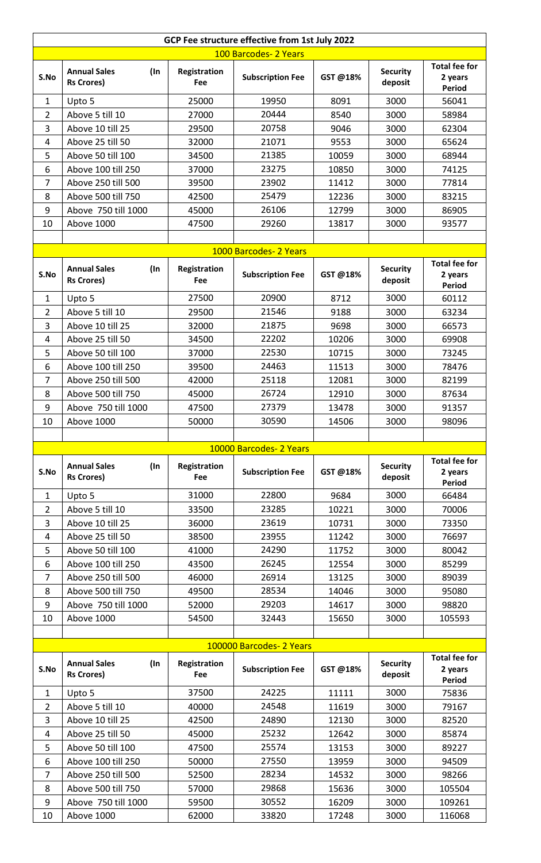|                          | GCP Fee structure effective from 1st July 2022  |                     |                         |          |                            |                                                  |  |  |
|--------------------------|-------------------------------------------------|---------------------|-------------------------|----------|----------------------------|--------------------------------------------------|--|--|
|                          |                                                 |                     | 100 Barcodes- 2 Years   |          |                            |                                                  |  |  |
| S.No                     | <b>Annual Sales</b><br>(In<br><b>Rs Crores)</b> | Registration<br>Fee | <b>Subscription Fee</b> | GST@18%  | <b>Security</b><br>deposit | <b>Total fee for</b><br>2 years<br><b>Period</b> |  |  |
| $\mathbf{1}$             | Upto 5                                          | 25000               | 19950                   | 8091     | 3000                       | 56041                                            |  |  |
| $\overline{2}$           | Above 5 till 10                                 | 27000               | 20444                   | 8540     | 3000                       | 58984                                            |  |  |
| 3                        | Above 10 till 25                                | 29500               | 20758                   | 9046     | 3000                       | 62304                                            |  |  |
| 4                        | Above 25 till 50                                | 32000               | 21071                   | 9553     | 3000                       | 65624                                            |  |  |
| 5                        | Above 50 till 100                               | 34500               | 21385                   | 10059    | 3000                       | 68944                                            |  |  |
| 6                        | Above 100 till 250                              | 37000               | 23275                   | 10850    | 3000                       | 74125                                            |  |  |
| $\overline{7}$           | Above 250 till 500                              | 39500               | 23902                   | 11412    | 3000                       | 77814                                            |  |  |
| 8                        | Above 500 till 750                              | 42500               | 25479                   | 12236    | 3000                       | 83215                                            |  |  |
| 9                        | Above 750 till 1000                             | 45000               | 26106                   | 12799    | 3000                       | 86905                                            |  |  |
| 10                       | Above 1000                                      | 47500               | 29260                   | 13817    | 3000                       | 93577                                            |  |  |
|                          |                                                 |                     | 1000 Barcodes- 2 Years  |          |                            |                                                  |  |  |
|                          | <b>Annual Sales</b><br>(In                      | Registration        |                         |          | <b>Security</b>            | <b>Total fee for</b>                             |  |  |
| S.No                     | <b>Rs Crores)</b>                               | Fee                 | <b>Subscription Fee</b> | GST @18% | deposit                    | 2 years<br>Period                                |  |  |
| 1                        | Upto 5                                          | 27500               | 20900                   | 8712     | 3000                       | 60112                                            |  |  |
| $\overline{2}$           | Above 5 till 10                                 | 29500               | 21546                   | 9188     | 3000                       | 63234                                            |  |  |
| 3                        | Above 10 till 25                                | 32000               | 21875                   | 9698     | 3000                       | 66573                                            |  |  |
| 4                        | Above 25 till 50                                | 34500               | 22202                   | 10206    | 3000                       | 69908                                            |  |  |
| 5                        | Above 50 till 100                               | 37000               | 22530                   | 10715    | 3000                       | 73245                                            |  |  |
| 6                        | Above 100 till 250                              | 39500               | 24463                   | 11513    | 3000                       | 78476                                            |  |  |
| $\overline{7}$           | Above 250 till 500                              | 42000               | 25118                   | 12081    | 3000                       | 82199                                            |  |  |
| 8                        | Above 500 till 750                              | 45000               | 26724                   | 12910    | 3000                       | 87634                                            |  |  |
| 9                        | Above 750 till 1000                             | 47500               | 27379                   | 13478    | 3000                       | 91357                                            |  |  |
| 10                       | Above 1000                                      | 50000               | 30590                   | 14506    | 3000                       | 98096                                            |  |  |
|                          |                                                 |                     |                         |          |                            |                                                  |  |  |
|                          |                                                 |                     | 10000 Barcodes- 2 Years |          |                            |                                                  |  |  |
| S.No                     | <b>Annual Sales</b><br>(In<br><b>Rs Crores)</b> | Registration<br>Fee | <b>Subscription Fee</b> | GST@18%  | <b>Security</b><br>deposit | <b>Total fee for</b><br>2 years<br><b>Period</b> |  |  |
| 1                        | Upto 5                                          | 31000               | 22800                   | 9684     | 3000                       | 66484                                            |  |  |
| $\overline{2}$           | Above 5 till 10                                 | 33500               | 23285                   | 10221    | 3000                       | 70006                                            |  |  |
| 3                        | Above 10 till 25                                | 36000               | 23619                   | 10731    | 3000                       | 73350                                            |  |  |
| 4                        | Above 25 till 50                                | 38500               | 23955                   | 11242    | 3000                       | 76697                                            |  |  |
| 5                        | Above 50 till 100                               | 41000               | 24290                   | 11752    | 3000                       | 80042                                            |  |  |
| 6                        | Above 100 till 250                              | 43500               | 26245                   | 12554    | 3000                       | 85299                                            |  |  |
| 7                        | Above 250 till 500                              | 46000               | 26914                   | 13125    | 3000                       | 89039                                            |  |  |
| 8                        | Above 500 till 750                              | 49500               | 28534                   | 14046    | 3000                       | 95080                                            |  |  |
| 9                        | Above 750 till 1000                             | 52000               | 29203                   | 14617    | 3000                       | 98820                                            |  |  |
| 10                       | Above 1000                                      | 54500               | 32443                   | 15650    | 3000                       | 105593                                           |  |  |
| 100000 Barcodes- 2 Years |                                                 |                     |                         |          |                            |                                                  |  |  |
| S.No                     | <b>Annual Sales</b><br>(In<br><b>Rs Crores)</b> | Registration<br>Fee | <b>Subscription Fee</b> | GST@18%  | <b>Security</b><br>deposit | <b>Total fee for</b><br>2 years<br><b>Period</b> |  |  |
| $\mathbf{1}$             | Upto 5                                          | 37500               | 24225                   | 11111    | 3000                       | 75836                                            |  |  |
| $\overline{2}$           | Above 5 till 10                                 | 40000               | 24548                   | 11619    | 3000                       | 79167                                            |  |  |
| 3                        | Above 10 till 25                                | 42500               | 24890                   | 12130    | 3000                       | 82520                                            |  |  |
| 4                        | Above 25 till 50                                | 45000               | 25232                   | 12642    | 3000                       | 85874                                            |  |  |
| 5                        | Above 50 till 100                               | 47500               | 25574                   | 13153    | 3000                       | 89227                                            |  |  |
| 6                        | Above 100 till 250                              | 50000               | 27550                   | 13959    | 3000                       | 94509                                            |  |  |
| $\overline{7}$           | Above 250 till 500                              | 52500               | 28234                   | 14532    | 3000                       | 98266                                            |  |  |
| 8                        | Above 500 till 750                              | 57000               | 29868                   | 15636    | 3000                       | 105504                                           |  |  |
| 9                        | Above 750 till 1000                             | 59500               | 30552                   | 16209    | 3000                       | 109261                                           |  |  |
| 10                       | Above 1000                                      | 62000               | 33820                   | 17248    | 3000                       | 116068                                           |  |  |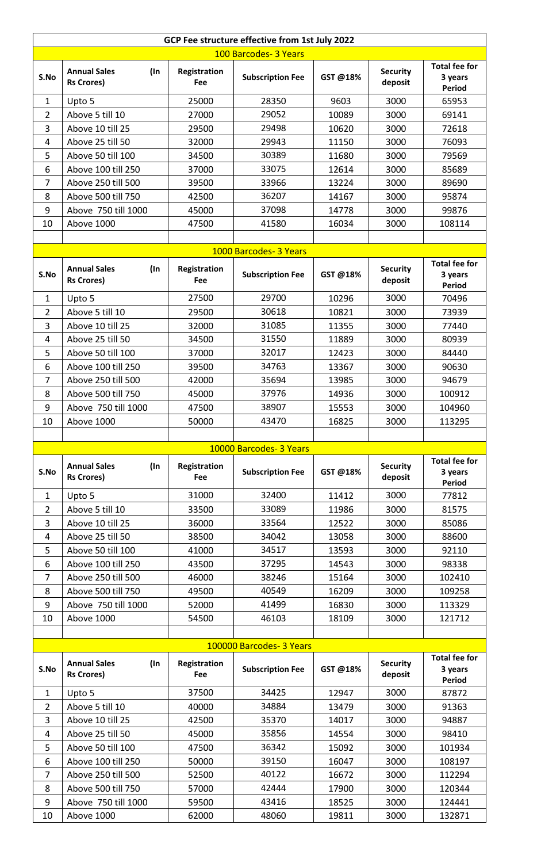| GCP Fee structure effective from 1st July 2022 |                                                 |                     |                         |         |                            |                                           |  |  |
|------------------------------------------------|-------------------------------------------------|---------------------|-------------------------|---------|----------------------------|-------------------------------------------|--|--|
| 100 Barcodes- 3 Years                          |                                                 |                     |                         |         |                            |                                           |  |  |
| S.No                                           | <b>Annual Sales</b><br>(In<br><b>Rs Crores)</b> | Registration<br>Fee | <b>Subscription Fee</b> | GST@18% | <b>Security</b><br>deposit | <b>Total fee for</b><br>3 years<br>Period |  |  |
| $\mathbf{1}$                                   | Upto 5                                          | 25000               | 28350                   | 9603    | 3000                       | 65953                                     |  |  |
| $\overline{2}$                                 | Above 5 till 10                                 | 27000               | 29052                   | 10089   | 3000                       | 69141                                     |  |  |
| 3                                              | Above 10 till 25                                | 29500               | 29498                   | 10620   | 3000                       | 72618                                     |  |  |
| 4                                              | Above 25 till 50                                | 32000               | 29943                   | 11150   | 3000                       | 76093                                     |  |  |
| 5                                              | Above 50 till 100                               | 34500               | 30389                   | 11680   | 3000                       | 79569                                     |  |  |
| 6                                              | Above 100 till 250                              | 37000               | 33075                   | 12614   | 3000                       | 85689                                     |  |  |
| $\overline{7}$                                 | Above 250 till 500                              | 39500               | 33966                   | 13224   | 3000                       | 89690                                     |  |  |
| 8                                              | Above 500 till 750                              | 42500               | 36207                   | 14167   | 3000                       | 95874                                     |  |  |
| 9                                              | Above 750 till 1000                             | 45000               | 37098                   | 14778   | 3000                       | 99876                                     |  |  |
| 10                                             | Above 1000                                      | 47500               | 41580                   | 16034   | 3000                       | 108114                                    |  |  |
|                                                |                                                 |                     |                         |         |                            |                                           |  |  |
|                                                |                                                 |                     | 1000 Barcodes- 3 Years  |         |                            | <b>Total fee for</b>                      |  |  |
| S.No                                           | <b>Annual Sales</b><br>(In<br><b>Rs Crores)</b> | Registration<br>Fee | <b>Subscription Fee</b> | GST@18% | <b>Security</b><br>deposit | 3 years<br><b>Period</b>                  |  |  |
| 1                                              | Upto 5                                          | 27500               | 29700                   | 10296   | 3000                       | 70496                                     |  |  |
| 2                                              | Above 5 till 10                                 | 29500               | 30618                   | 10821   | 3000                       | 73939                                     |  |  |
| 3                                              | Above 10 till 25                                | 32000               | 31085                   | 11355   | 3000                       | 77440                                     |  |  |
| 4                                              | Above 25 till 50                                | 34500               | 31550                   | 11889   | 3000                       | 80939                                     |  |  |
| 5                                              | Above 50 till 100                               | 37000               | 32017                   | 12423   | 3000                       | 84440                                     |  |  |
| 6                                              | Above 100 till 250                              | 39500               | 34763                   | 13367   | 3000                       | 90630                                     |  |  |
| $\overline{7}$                                 | Above 250 till 500                              | 42000               | 35694                   | 13985   | 3000                       | 94679                                     |  |  |
| 8                                              | Above 500 till 750                              | 45000               | 37976                   | 14936   | 3000                       | 100912                                    |  |  |
| 9                                              | Above 750 till 1000                             | 47500               | 38907                   | 15553   | 3000                       | 104960                                    |  |  |
| 10                                             | Above 1000                                      | 50000               | 43470                   | 16825   | 3000                       | 113295                                    |  |  |
|                                                |                                                 |                     |                         |         |                            |                                           |  |  |
|                                                |                                                 |                     | 10000 Barcodes- 3 Years |         |                            | <b>Total fee for</b>                      |  |  |
| S.No                                           | <b>Annual Sales</b><br>(In<br><b>Rs Crores)</b> | Registration<br>Fee | <b>Subscription Fee</b> | GST@18% | <b>Security</b><br>deposit | 3 years<br>Period                         |  |  |
| $\mathbf{1}$                                   | Upto 5                                          | 31000               | 32400                   | 11412   | 3000                       | 77812                                     |  |  |
| $\overline{2}$                                 | Above 5 till 10                                 | 33500               | 33089                   | 11986   | 3000                       | 81575                                     |  |  |
| 3                                              | Above 10 till 25                                | 36000               | 33564                   | 12522   | 3000                       | 85086                                     |  |  |
| 4                                              | Above 25 till 50                                | 38500               | 34042                   | 13058   | 3000                       | 88600                                     |  |  |
| 5                                              | Above 50 till 100                               | 41000               | 34517                   | 13593   | 3000                       | 92110                                     |  |  |
| 6                                              | Above 100 till 250                              | 43500               | 37295                   | 14543   | 3000                       | 98338                                     |  |  |
| $\overline{7}$                                 | Above 250 till 500                              | 46000               | 38246                   | 15164   | 3000                       | 102410                                    |  |  |
| 8                                              | Above 500 till 750                              | 49500               | 40549                   | 16209   | 3000                       | 109258                                    |  |  |
| 9                                              | Above 750 till 1000                             | 52000               | 41499                   | 16830   | 3000                       | 113329                                    |  |  |
| 10                                             | Above 1000                                      | 54500               | 46103                   | 18109   | 3000                       | 121712                                    |  |  |
| 100000 Barcodes- 3 Years                       |                                                 |                     |                         |         |                            |                                           |  |  |
|                                                | <b>Annual Sales</b>                             |                     |                         |         |                            | <b>Total fee for</b>                      |  |  |
| S.No                                           | (In<br><b>Rs Crores)</b>                        | Registration<br>Fee | <b>Subscription Fee</b> | GST@18% | <b>Security</b><br>deposit | 3 years<br><b>Period</b>                  |  |  |
| $\mathbf{1}$                                   | Upto 5                                          | 37500               | 34425                   | 12947   | 3000                       | 87872                                     |  |  |
| $\overline{2}$                                 | Above 5 till 10                                 | 40000               | 34884                   | 13479   | 3000                       | 91363                                     |  |  |
| 3                                              | Above 10 till 25                                | 42500               | 35370                   | 14017   | 3000                       | 94887                                     |  |  |
| 4                                              | Above 25 till 50                                | 45000               | 35856                   | 14554   | 3000                       | 98410                                     |  |  |
| 5                                              | Above 50 till 100                               | 47500               | 36342                   | 15092   | 3000                       | 101934                                    |  |  |
| 6                                              | Above 100 till 250                              | 50000               | 39150                   | 16047   | 3000                       | 108197                                    |  |  |
| 7                                              | Above 250 till 500                              | 52500               | 40122                   | 16672   | 3000                       | 112294                                    |  |  |
| 8                                              | Above 500 till 750                              | 57000<br>59500      | 42444                   | 17900   | 3000                       | 120344                                    |  |  |
| 9                                              | Above 750 till 1000                             |                     | 43416<br>48060          | 18525   | 3000                       | 124441                                    |  |  |
| 10                                             | Above 1000                                      | 62000               |                         | 19811   | 3000                       | 132871                                    |  |  |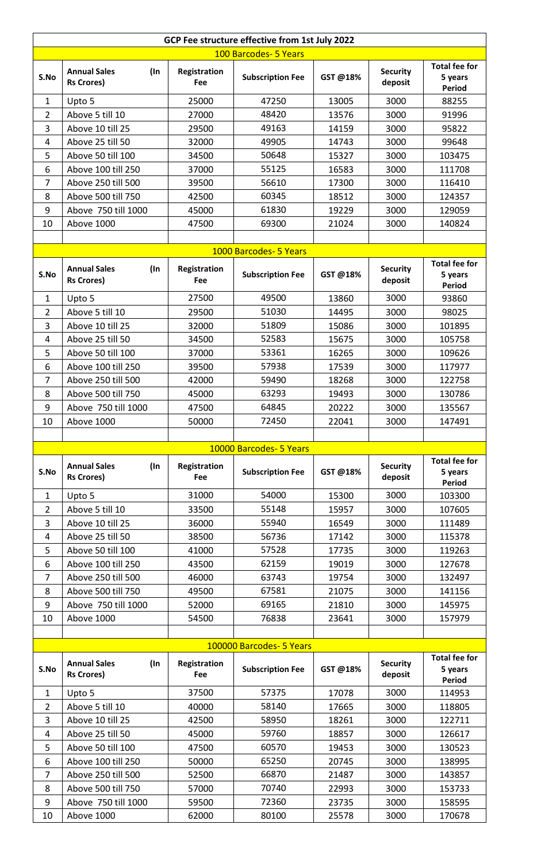|                       | GCP Fee structure effective from 1st July 2022  |                     |                                                     |                |                            |                                           |  |  |
|-----------------------|-------------------------------------------------|---------------------|-----------------------------------------------------|----------------|----------------------------|-------------------------------------------|--|--|
| 100 Barcodes- 5 Years |                                                 |                     |                                                     |                |                            |                                           |  |  |
| S.No                  | <b>Annual Sales</b><br>(In<br><b>Rs Crores)</b> | Registration<br>Fee | <b>Subscription Fee</b>                             | GST@18%        | <b>Security</b><br>deposit | <b>Total fee for</b><br>5 years<br>Period |  |  |
| $\mathbf{1}$          | Upto 5                                          | 25000               | 47250                                               | 13005          | 3000                       | 88255                                     |  |  |
| $\overline{2}$        | Above 5 till 10                                 | 27000               | 48420                                               | 13576          | 3000                       | 91996                                     |  |  |
| 3                     | Above 10 till 25                                | 29500               | 49163                                               | 14159          | 3000                       | 95822                                     |  |  |
| 4                     | Above 25 till 50                                | 32000               | 49905                                               | 14743          | 3000                       | 99648                                     |  |  |
| 5                     | Above 50 till 100                               | 34500               | 50648                                               | 15327          | 3000                       | 103475                                    |  |  |
| 6                     | Above 100 till 250                              | 37000               | 55125                                               | 16583          | 3000                       | 111708                                    |  |  |
| $\overline{7}$        | Above 250 till 500                              | 39500               | 56610                                               | 17300          | 3000                       | 116410                                    |  |  |
| 8                     | Above 500 till 750                              | 42500               | 60345                                               | 18512          | 3000                       | 124357                                    |  |  |
| 9                     | Above 750 till 1000                             | 45000               | 61830                                               | 19229          | 3000                       | 129059                                    |  |  |
| 10                    | Above 1000                                      | 47500               | 69300                                               | 21024          | 3000                       | 140824                                    |  |  |
|                       |                                                 |                     |                                                     |                |                            |                                           |  |  |
|                       |                                                 |                     | 1000 Barcodes- 5 Years                              |                |                            | <b>Total fee for</b>                      |  |  |
| S.No                  | <b>Annual Sales</b><br>(In<br><b>Rs Crores)</b> | Registration<br>Fee | <b>Subscription Fee</b>                             | GST@18%        | <b>Security</b><br>deposit | 5 years<br><b>Period</b>                  |  |  |
| 1                     | Upto 5                                          | 27500               | 49500                                               | 13860          | 3000                       | 93860                                     |  |  |
| $\overline{2}$        | Above 5 till 10                                 | 29500               | 51030                                               | 14495          | 3000                       | 98025                                     |  |  |
| 3                     | Above 10 till 25                                | 32000               | 51809                                               | 15086          | 3000                       | 101895                                    |  |  |
| 4                     | Above 25 till 50                                | 34500               | 52583                                               | 15675          | 3000                       | 105758                                    |  |  |
| 5                     | Above 50 till 100                               | 37000               | 53361                                               | 16265          | 3000                       | 109626                                    |  |  |
| 6                     | Above 100 till 250                              | 39500               | 57938                                               | 17539          | 3000                       | 117977                                    |  |  |
| $\overline{7}$        | Above 250 till 500                              | 42000               | 59490                                               | 18268          | 3000                       | 122758                                    |  |  |
| 8                     | Above 500 till 750                              | 45000               | 63293                                               | 19493          | 3000                       | 130786                                    |  |  |
| 9                     | Above 750 till 1000                             | 47500               | 64845                                               | 20222          | 3000                       | 135567                                    |  |  |
| 10                    | Above 1000                                      | 50000               | 72450                                               | 22041          | 3000                       | 147491                                    |  |  |
|                       |                                                 |                     | 10000 Barcodes- 5 Years                             |                |                            |                                           |  |  |
|                       |                                                 |                     |                                                     |                |                            | <b>Total fee for</b>                      |  |  |
| S.No                  | <b>Annual Sales</b><br>(In<br><b>Rs Crores)</b> | Registration<br>Fee | <b>Subscription Fee</b>                             | GST@18%        | <b>Security</b><br>deposit | 5 years<br>Period                         |  |  |
| $\mathbf{1}$          | Upto 5                                          | 31000               | 54000                                               | 15300          | 3000                       | 103300                                    |  |  |
| $\overline{2}$        | Above 5 till 10                                 | 33500               | 55148                                               | 15957          | 3000                       | 107605                                    |  |  |
| 3                     | Above 10 till 25                                | 36000               | 55940                                               | 16549          | 3000                       | 111489                                    |  |  |
| 4                     | Above 25 till 50                                | 38500               | 56736                                               | 17142          | 3000                       | 115378                                    |  |  |
| 5                     | Above 50 till 100                               | 41000               | 57528                                               | 17735          | 3000                       | 119263                                    |  |  |
| 6                     | Above 100 till 250                              | 43500               | 62159                                               | 19019          | 3000                       | 127678                                    |  |  |
| $\overline{7}$        | Above 250 till 500                              | 46000               | 63743                                               | 19754          | 3000                       | 132497                                    |  |  |
| 8                     | Above 500 till 750                              | 49500               | 67581                                               | 21075          | 3000                       | 141156                                    |  |  |
| 9                     |                                                 |                     |                                                     |                |                            |                                           |  |  |
| 10                    | Above 750 till 1000                             | 52000               | 69165                                               | 21810          | 3000                       | 145975                                    |  |  |
|                       | Above 1000                                      | 54500               | 76838                                               | 23641          | 3000                       | 157979                                    |  |  |
|                       |                                                 |                     |                                                     |                |                            |                                           |  |  |
| S.No                  | <b>Annual Sales</b><br>(In<br><b>Rs Crores)</b> | Registration<br>Fee | 100000 Barcodes- 5 Years<br><b>Subscription Fee</b> | GST@18%        | <b>Security</b><br>deposit | <b>Total fee for</b><br>5 years           |  |  |
|                       |                                                 |                     |                                                     |                |                            | <b>Period</b>                             |  |  |
| $\mathbf{1}$          | Upto 5                                          | 37500               | 57375                                               | 17078          | 3000                       | 114953                                    |  |  |
| $\overline{2}$        | Above 5 till 10                                 | 40000               | 58140                                               | 17665          | 3000                       | 118805                                    |  |  |
| 3                     | Above 10 till 25                                | 42500               | 58950                                               | 18261          | 3000                       | 122711                                    |  |  |
| 4                     | Above 25 till 50                                | 45000               | 59760                                               | 18857          | 3000                       | 126617                                    |  |  |
| 5                     | Above 50 till 100                               | 47500               | 60570                                               | 19453          | 3000                       | 130523                                    |  |  |
| 6                     | Above 100 till 250                              | 50000               | 65250                                               | 20745          | 3000                       | 138995                                    |  |  |
| $\overline{7}$<br>8   | Above 250 till 500<br>Above 500 till 750        | 52500<br>57000      | 66870<br>70740                                      | 21487<br>22993 | 3000<br>3000               | 143857<br>153733                          |  |  |
| 9                     | Above 750 till 1000                             | 59500               | 72360                                               | 23735          | 3000                       | 158595                                    |  |  |